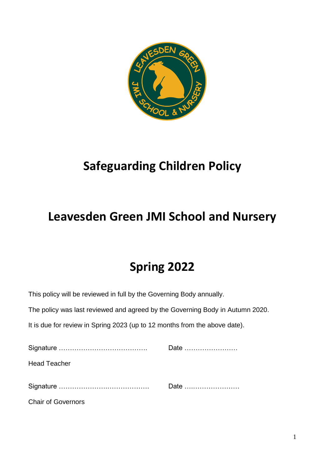

# **Safeguarding Children Policy**

## **Leavesden Green JMI School and Nursery**

## **Spring 2022**

This policy will be reviewed in full by the Governing Body annually.

The policy was last reviewed and agreed by the Governing Body in Autumn 2020.

It is due for review in Spring 2023 (up to 12 months from the above date).

|                           | Date |
|---------------------------|------|
| <b>Head Teacher</b>       |      |
|                           | Date |
| <b>Chair of Governors</b> |      |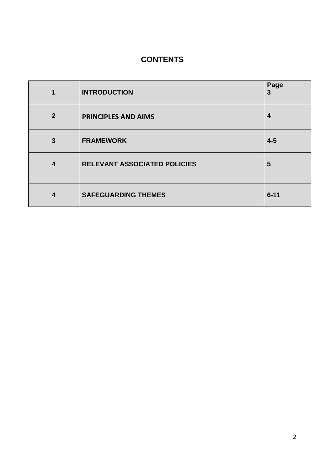## **CONTENTS**

| 1                       | <b>INTRODUCTION</b>          | Page<br>3 |
|-------------------------|------------------------------|-----------|
| $\overline{2}$          | <b>PRINCIPLES AND AIMS</b>   | 4         |
| 3                       | <b>FRAMEWORK</b>             | $4-5$     |
| $\overline{\mathbf{4}}$ | RELEVANT ASSOCIATED POLICIES | 5         |
| 4                       | <b>SAFEGUARDING THEMES</b>   | $6 - 11$  |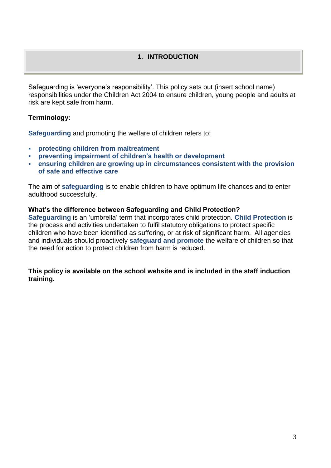#### **1. INTRODUCTION**

Safeguarding is 'everyone's responsibility'. This policy sets out (insert school name) responsibilities under the Children Act 2004 to ensure children, young people and adults at risk are kept safe from harm.

#### **Terminology:**

**Safeguarding** and promoting the welfare of children refers to:

- **protecting children from maltreatment**
- **preventing impairment of children's health or development**
- **ensuring children are growing up in circumstances consistent with the provision of safe and effective care**

The aim of **safeguarding** is to enable children to have optimum life chances and to enter adulthood successfully.

#### **What's the difference between Safeguarding and Child Protection?**

**Safeguarding** is an 'umbrella' term that incorporates child protection. **Child Protection** is the process and activities undertaken to fulfil statutory obligations to protect specific children who have been identified as suffering, or at risk of significant harm. All agencies and individuals should proactively **safeguard and promote** the welfare of children so that the need for action to protect children from harm is reduced.

**This policy is available on the school website and is included in the staff induction training.**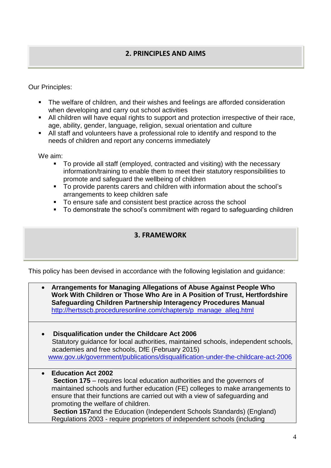### **2. PRINCIPLES AND AIMS**

Our Principles:

- The welfare of children, and their wishes and feelings are afforded consideration when developing and carry out school activities
- All children will have equal rights to support and protection irrespective of their race, age, ability, gender, language, religion, sexual orientation and culture
- All staff and volunteers have a professional role to identify and respond to the needs of children and report any concerns immediately

We aim:

- To provide all staff (employed, contracted and visiting) with the necessary information/training to enable them to meet their statutory responsibilities to promote and safeguard the wellbeing of children
- To provide parents carers and children with information about the school's arrangements to keep children safe
- To ensure safe and consistent best practice across the school
- To demonstrate the school's commitment with regard to safeguarding children

#### **3. FRAMEWORK**

This policy has been devised in accordance with the following legislation and guidance:

| Arrangements for Managing Allegations of Abuse Against People Who<br>$\bullet$<br>Work With Children or Those Who Are in A Position of Trust, Hertfordshire<br>Safeguarding Children Partnership Interagency Procedures Manual<br>http://hertsscb.proceduresonline.com/chapters/p_manage_alleg.html                                                                                                                                                                                          |
|----------------------------------------------------------------------------------------------------------------------------------------------------------------------------------------------------------------------------------------------------------------------------------------------------------------------------------------------------------------------------------------------------------------------------------------------------------------------------------------------|
| Disqualification under the Childcare Act 2006<br>$\bullet$<br>Statutory guidance for local authorities, maintained schools, independent schools,<br>academies and free schools, DfE (February 2015)<br>www.gov.uk/government/publications/disqualification-under-the-childcare-act-2006                                                                                                                                                                                                      |
| <b>Education Act 2002</b><br>$\bullet$<br><b>Section 175</b> – requires local education authorities and the governors of<br>maintained schools and further education (FE) colleges to make arrangements to<br>ensure that their functions are carried out with a view of safeguarding and<br>promoting the welfare of children.<br><b>Section 157and the Education (Independent Schools Standards) (England)</b><br>Regulations 2003 - require proprietors of independent schools (including |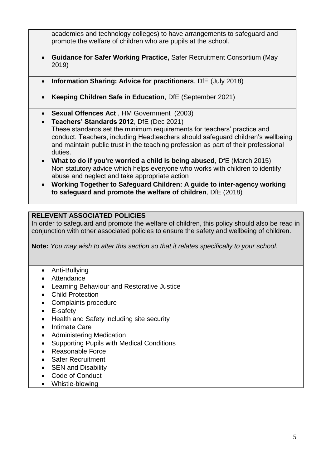academies and technology colleges) to have arrangements to safeguard and promote the welfare of children who are pupils at the school.

- **Guidance for Safer Working Practice,** Safer Recruitment Consortium (May 2019)
- **Information Sharing: Advice for practitioners**, DfE (July 2018)
- **Keeping Children Safe in Education**, DfE (September 2021)
- **Sexual Offences Act** , HM Government (2003)
- **Teachers' Standards 2012**, DfE (Dec 2021) These standards set the minimum requirements for teachers' practice and conduct. Teachers, including Headteachers should safeguard children's wellbeing and maintain public trust in the teaching profession as part of their professional duties.
- **What to do if you're worried a child is being abused**, DfE (March 2015) Non statutory advice which helps everyone who works with children to identify abuse and neglect and take appropriate action
- **Working Together to Safeguard Children: A guide to inter-agency working to safeguard and promote the welfare of children***,* DfE (2018)

### **RELEVENT ASSOCIATED POLICIES**

In order to safeguard and promote the welfare of children, this policy should also be read in conjunction with other associated policies to ensure the safety and wellbeing of children.

**Note:** *You may wish to alter this section so that it relates specifically to your school*.

- Anti-Bullying
- Attendance
- Learning Behaviour and Restorative Justice
- Child Protection
- Complaints procedure
- E-safety
- Health and Safety including site security
- Intimate Care
- Administering Medication
- Supporting Pupils with Medical Conditions
- Reasonable Force
- Safer Recruitment
- SEN and Disability
- Code of Conduct
- Whistle-blowing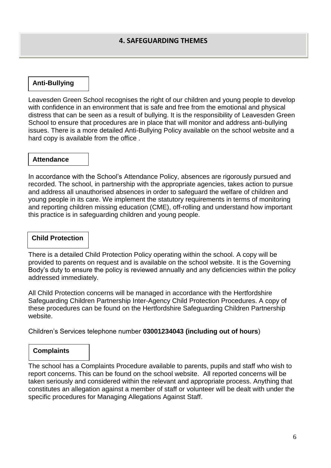#### **Anti-Bullying**

Leavesden Green School recognises the right of our children and young people to develop with confidence in an environment that is safe and free from the emotional and physical distress that can be seen as a result of bullying. It is the responsibility of Leavesden Green School to ensure that procedures are in place that will monitor and address anti-bullying issues. There is a more detailed Anti-Bullying Policy available on the school website and a hard copy is available from the office .

#### **Attendance**

In accordance with the School's Attendance Policy, absences are rigorously pursued and recorded. The school, in partnership with the appropriate agencies, takes action to pursue and address all unauthorised absences in order to safeguard the welfare of children and young people in its care. We implement the statutory requirements in terms of monitoring and reporting children missing education (CME), off-rolling and understand how important this practice is in safeguarding children and young people.

#### **Child Protection**

There is a detailed Child Protection Policy operating within the school. A copy will be provided to parents on request and is available on the school website. It is the Governing Body's duty to ensure the policy is reviewed annually and any deficiencies within the policy addressed immediately.

All Child Protection concerns will be managed in accordance with the Hertfordshire Safeguarding Children Partnership Inter-Agency Child Protection Procedures. A copy of these procedures can be found on the Hertfordshire Safeguarding Children Partnership website.

Children's Services telephone number **03001234043 (including out of hours**)

#### **Complaints**

The school has a Complaints Procedure available to parents, pupils and staff who wish to report concerns. This can be found on the school website. All reported concerns will be taken seriously and considered within the relevant and appropriate process. Anything that constitutes an allegation against a member of staff or volunteer will be dealt with under the specific procedures for Managing Allegations Against Staff.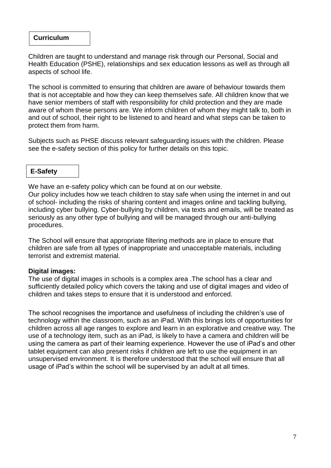#### **Curriculum**

Children are taught to understand and manage risk through our Personal, Social and Health Education (PSHE), relationships and sex education lessons as well as through all aspects of school life.

The school is committed to ensuring that children are aware of behaviour towards them that is not acceptable and how they can keep themselves safe. All children know that we have senior members of staff with responsibility for child protection and they are made aware of whom these persons are. We inform children of whom they might talk to, both in and out of school, their right to be listened to and heard and what steps can be taken to protect them from harm.

Subjects such as PHSE discuss relevant safeguarding issues with the children. Please see the e-safety section of this policy for further details on this topic.

#### **E-Safety**

We have an e-safety policy which can be found at on our website.

Our policy includes how we teach children to stay safe when using the internet in and out of school- including the risks of sharing content and images online and tackling bullying, including cyber bullying. Cyber-bullying by children, via texts and emails, will be treated as seriously as any other type of bullying and will be managed through our anti-bullying procedures.

The School will ensure that appropriate filtering methods are in place to ensure that children are safe from all types of inappropriate and unacceptable materials, including terrorist and extremist material.

#### **Digital images:**

The use of digital images in schools is a complex area .The school has a clear and sufficiently detailed policy which covers the taking and use of digital images and video of children and takes steps to ensure that it is understood and enforced.

The school recognises the importance and usefulness of including the children's use of technology within the classroom, such as an iPad. With this brings lots of opportunities for children across all age ranges to explore and learn in an explorative and creative way. The use of a technology item, such as an iPad, is likely to have a camera and children will be using the camera as part of their learning experience. However the use of iPad's and other tablet equipment can also present risks if children are left to use the equipment in an unsupervised environment. It is therefore understood that the school will ensure that all usage of iPad's within the school will be supervised by an adult at all times.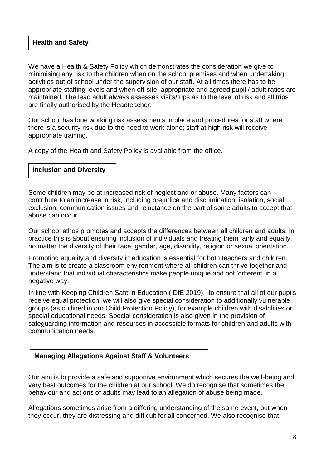#### **Health and Safety**

We have a Health & Safety Policy which demonstrates the consideration we give to minimising any risk to the children when on the school premises and when undertaking activities out of school under the supervision of our staff. At all times there has to be appropriate staffing levels and when off-site, appropriate and agreed pupil / adult ratios are maintained. The lead adult always assesses visits/trips as to the level of risk and all trips are finally authorised by the Headteacher.

Our school has lone working risk assessments in place and procedures for staff where there is a security risk due to the need to work alone; staff at high risk will receive appropriate training.

A copy of the Health and Safety Policy is available from the office.

#### **Inclusion and Diversity**

Some children may be at increased risk of neglect and or abuse. Many factors can contribute to an increase in risk, including prejudice and discrimination, isolation, social exclusion, communication issues and reluctance on the part of some adults to accept that abuse can occur.

Our school ethos promotes and accepts the differences between all children and adults. In practice this is about ensuring inclusion of individuals and treating them fairly and equally, no matter the diversity of their race, gender, age, disability, religion or sexual orientation.

Promoting equality and diversity in education is essential for both teachers and children. The aim is to create a classroom environment where all children can thrive together and understand that individual characteristics make people unique and not 'different' in a negative way.

In line with Keeping Children Safe in Education ( DfE 2019), to ensure that all of our pupils receive equal protection, we will also give special consideration to additionally vulnerable groups (as outlined in our Child Protection Policy), for example children with disabilities or special educational needs. Special consideration is also given in the provision of safeguarding information and resources in accessible formats for children and adults with communication needs.

#### **Managing Allegations Against Staff & Volunteers**

Our aim is to provide a safe and supportive environment which secures the well-being and very best outcomes for the children at our school. We do recognise that sometimes the behaviour and actions of adults may lead to an allegation of abuse being made.

Allegations sometimes arise from a differing understanding of the same event, but when they occur, they are distressing and difficult for all concerned. We also recognise that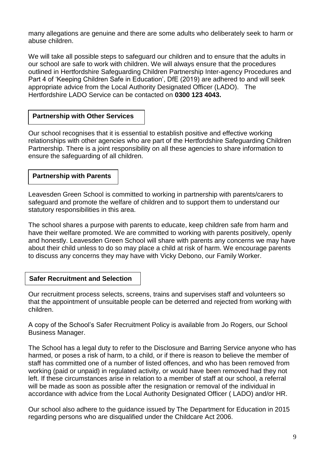many allegations are genuine and there are some adults who deliberately seek to harm or abuse children.

We will take all possible steps to safeguard our children and to ensure that the adults in our school are safe to work with children. We will always ensure that the procedures outlined in [Hertfordshire](http://norfolkscb.proceduresonline.com/chapters/p_alleg_work.html) Safeguarding Children Partnership Inter-agency Procedures and Part 4 of 'Keeping Children Safe in Education', DfE (2019) are adhered to and will seek appropriate advice from the Local Authority Designated Officer (LADO). The Hertfordshire LADO Service can be contacted on **0300 123 4043.**

#### **Partnership with Other Services**

Our school recognises that it is essential to establish positive and effective working relationships with other agencies who are part of the Hertfordshire Safeguarding Children Partnership. There is a joint responsibility on all these agencies to share information to ensure the safeguarding of all children.

#### **Partnership with Parents**

partners in the second service.

Leavesden Green School is committed to working in partnership with parents/carers to safeguard and promote the welfare of children and to support them to understand our statutory responsibilities in this area.

The school shares a purpose with parents to educate, keep children safe from harm and have their welfare promoted. We are committed to working with parents positively, openly and honestly. Leavesden Green School will share with parents any concerns we may have about their child unless to do so may place a child at risk of harm. We encourage parents to discuss any concerns they may have with Vicky Debono, our Family Worker.

### **Safer Recruitment and Selection**

Our recruitment process selects, screens, trains and supervises staff and volunteers so that the appointment of unsuitable people can be deterred and rejected from working with children.

A copy of the School's Safer Recruitment Policy is available from Jo Rogers, our School Business Manager.

The School has a legal duty to refer to the Disclosure and Barring Service anyone who has harmed, or poses a risk of harm, to a child, or if there is reason to believe the member of staff has committed one of a number of listed offences, and who has been removed from working (paid or unpaid) in regulated activity, or would have been removed had they not left. If these circumstances arise in relation to a member of staff at our school, a referral will be made as soon as possible after the resignation or removal of the individual in accordance with advice from the Local Authority Designated Officer ( LADO) and/or HR.

Our school also adhere to the guidance issued by The Department for Education in 2015 regarding persons who are disqualified under the Childcare Act 2006.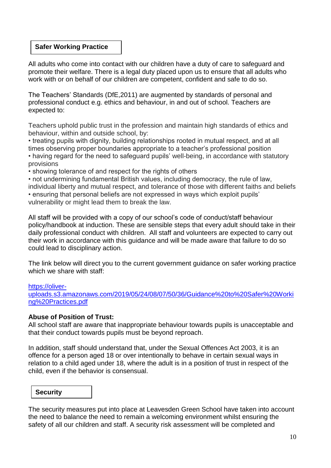#### **Safer Working Practice**

All adults who come into contact with our children have a duty of care to safeguard and promote their welfare. There is a legal duty placed upon us to ensure that all adults who work with or on behalf of our children are competent, confident and safe to do so.

The Teachers' Standards (DfE,2011) are augmented by standards of personal and professional conduct e.g. ethics and behaviour, in and out of school. Teachers are expected to:

Teachers uphold public trust in the profession and maintain high standards of ethics and behaviour, within and outside school, by:

• treating pupils with dignity, building relationships rooted in mutual respect, and at all times observing proper boundaries appropriate to a teacher's professional position • having regard for the need to safeguard pupils' well-being, in accordance with statutory provisions

• showing tolerance of and respect for the rights of others

• not undermining fundamental British values, including democracy, the rule of law, individual liberty and mutual respect, and tolerance of those with different faiths and beliefs • ensuring that personal beliefs are not expressed in ways which exploit pupils' vulnerability or might lead them to break the law.

All staff will be provided with a copy of our school's code of conduct/staff behaviour policy/handbook at induction. These are sensible steps that every adult should take in their daily professional conduct with children. All staff and volunteers are expected to carry out their work in accordance with this guidance and will be made aware that failure to do so could lead to disciplinary action.

The link below will direct you to the current government guidance on safer working practice which we share with staff:

[https://oliver-](https://oliver-uploads.s3.amazonaws.com/2019/05/24/08/07/50/36/Guidance%20to%20Safer%20Working%20Practices.pdf)

[uploads.s3.amazonaws.com/2019/05/24/08/07/50/36/Guidance%20to%20Safer%20Worki](https://oliver-uploads.s3.amazonaws.com/2019/05/24/08/07/50/36/Guidance%20to%20Safer%20Working%20Practices.pdf) [ng%20Practices.pdf](https://oliver-uploads.s3.amazonaws.com/2019/05/24/08/07/50/36/Guidance%20to%20Safer%20Working%20Practices.pdf)

#### **Abuse of Position of Trust:**

All school staff are aware that inappropriate behaviour towards pupils is unacceptable and that their conduct towards pupils must be beyond reproach.

In addition, staff should understand that, under the Sexual Offences Act 2003, it is an offence for a person aged 18 or over intentionally to behave in certain sexual ways in relation to a child aged under 18, where the adult is in a position of trust in respect of the child, even if the behavior is consensual.

#### **Security**

The security measures put into place at Leavesden Green School have taken into account the need to balance the need to remain a welcoming environment whilst ensuring the safety of all our children and staff. A security risk assessment will be completed and